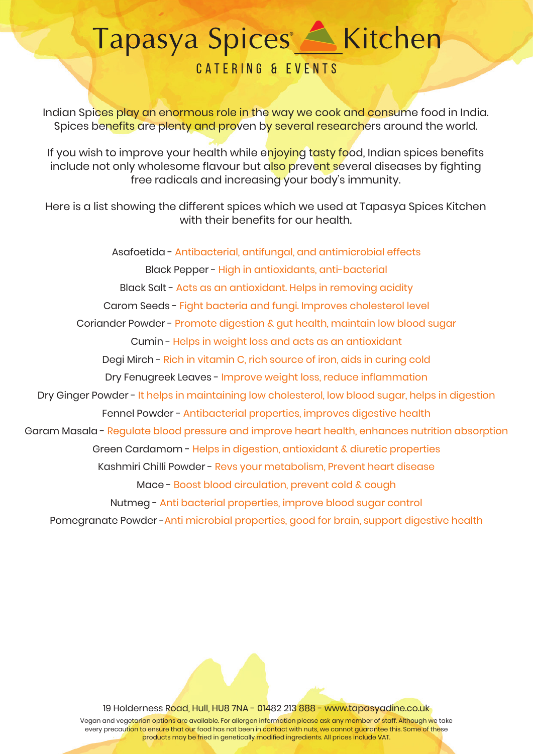## 

### **CATERING & EVENTS**

Indian Spices play an enormous role in the way we cook and consume food in India. Spices benefits are plenty and proven by several researchers around the world.

If you wish to improve your health while enjoying tasty food, Indian spices benefits include not only wholesome flavour but also prevent several diseases by fighting free radicals and increasing your body's immunity.

Here is a list showing the different spices which we used at Tapasya Spices Kitchen with their benefits for our health.

Asafoetida - Antibacterial, antifungal, and antimicrobial effects Black Pepper - High in antioxidants, anti-bacterial Black Salt - Acts as an antioxidant. Helps in removing acidity Carom Seeds - Fight bacteria and fungi. Improves cholesterol level Coriander Powder - Promote digestion & gut health, maintain low blood sugar Cumin - Helps in weight loss and acts as an antioxidant Degi Mirch - Rich in vitamin C, rich source of iron, aids in curing cold Dry Fenugreek Leaves - Improve weight loss, reduce inflammation Dry Ginger Powder - It helps in maintaining low cholesterol, low blood sugar, helps in digestion Fennel Powder - Antibacterial properties, improves digestive health Garam Masala - Regulate blood pressure and improve heart health, enhances nutrition absorption Green Cardamom - Helps in digestion, antioxidant & diuretic properties Kashmiri Chilli Powder - Revs your metabolism, Prevent heart disease Mace - Boost blood circulation, prevent cold & cough Nutmeg - Anti bacterial properties, improve blood sugar control Pomegranate Powder -Anti microbial properties, good for brain, support digestive health

19 Holderness Road, Hull, HU8 7NA - 01482 213 888 - www.tapasyadine.co.uk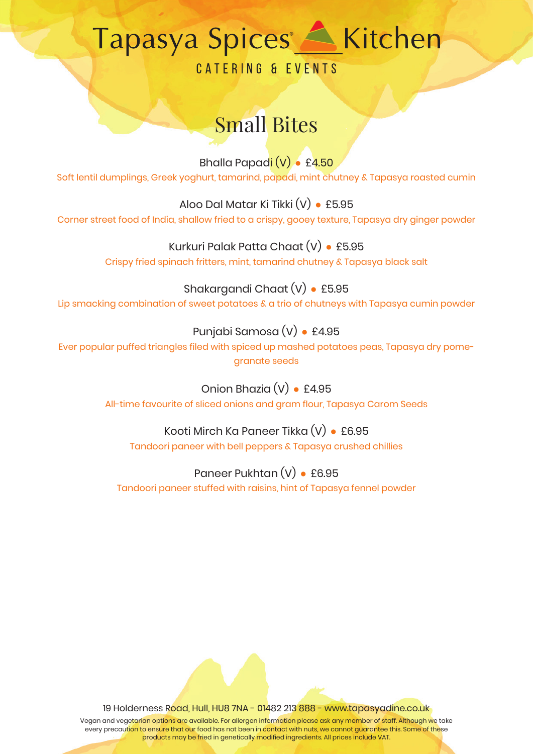# 

**CATERING & EVENTS** 

## Small Bites

Bhalla Papadi (V) **●** £4.50 Soft lentil dumplings, Greek yoghurt, tamarind, papadi, mint chutney & Tapasya roasted cumin

Aloo Dal Matar Ki Tikki (V) **●** £5.95 Corner street food of India, shallow fried to a crispy, gooey texture, Tapasya dry ginger powder

> Kurkuri Palak Patta Chaat (V) **●** £5.95 Crispy fried spinach fritters, mint, tamarind chutney & Tapasya black salt

#### Shakargandi Chaat (V) **●** £5.95

Lip smacking combination of sweet potatoes & a trio of chutneys with Tapasya cumin powder

#### Punjabi Samosa (V) **●** £4.95

Ever popular puffed triangles filed with spiced up mashed potatoes peas, Tapasya dry pomegranate seeds

> Onion Bhazia (V) **●** £4.95 All-time favourite of sliced onions and gram flour, Tapasya Carom Seeds

Kooti Mirch Ka Paneer Tikka (V) **●** £6.95 Tandoori paneer with bell peppers & Tapasya crushed chillies

Paneer Pukhtan (V) **●** £6.95 Tandoori paneer stuffed with raisins, hint of Tapasya fennel powder

19 Holderness Road, Hull, HU8 7NA - 01482 213 888 - www.tapasyadine.co.uk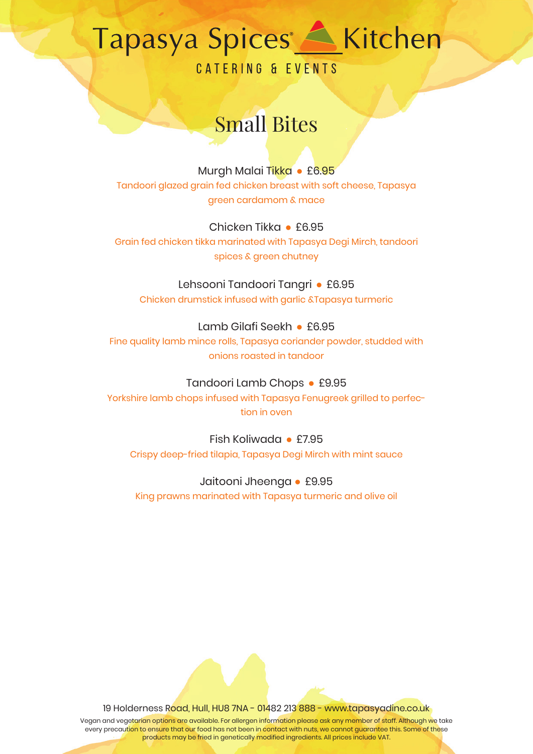CATERING & EVENTS

## Small Bites

Murgh Malai Tikka **●** £6.95

Tandoori glazed grain fed chicken breast with soft cheese, Tapasya green cardamom & mace

#### Chicken Tikka **●** £6.95

Grain fed chicken tikka marinated with Tapasya Degi Mirch, tandoori spices & green chutney

#### Lehsooni Tandoori Tangri **●** £6.95

Chicken drumstick infused with garlic &Tapasya turmeric

#### Lamb Gilafi Seekh **●** £6.95

Fine quality lamb mince rolls, Tapasya coriander powder, studded with onions roasted in tandoor

#### Tandoori Lamb Chops **●** £9.95

Yorkshire lamb chops infused with Tapasya Fenugreek grilled to perfection in oven

### Fish Koliwada **●** £7.95

Crispy deep-fried tilapia, Tapasya Degi Mirch with mint sauce

#### Jaitooni Jheenga **●** £9.95

King prawns marinated with Tapasya turmeric and olive oil

19 Holderness Road, Hull, HU8 7NA - 01482 213 888 - www.tapasyadine.co.uk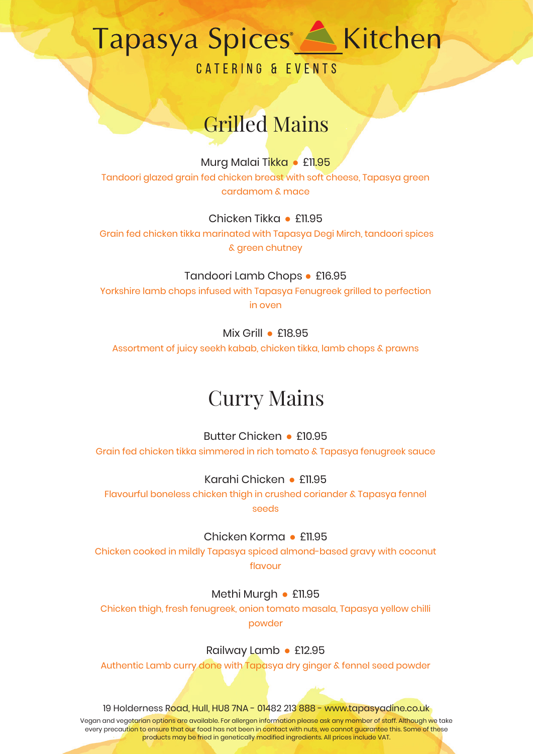**CATERING & EVENTS** 

## Grilled Mains

#### Murg Malai Tikka **●** £11.95

Tandoori glazed grain fed chicken breast with soft cheese, Tapasya green cardamom & mace

#### Chicken Tikka **●** £11.95

 Grain fed chicken tikka marinated with Tapasya Degi Mirch, tandoori spices & green chutney

#### Tandoori Lamb Chops **●** £16.95

Yorkshire lamb chops infused with Tapasya Fenugreek grilled to perfection in oven

#### Mix Grill **●** £18.95

Assortment of juicy seekh kabab, chicken tikka, lamb chops & prawns

### Curry Mains

Butter Chicken **●** £10.95 Grain fed chicken tikka simmered in rich tomato & Tapasya fenugreek sauce

Karahi Chicken **●** £11.95

Flavourful boneless chicken thigh in crushed coriander & Tapasya fennel seeds

Chicken Korma **●** £11.95

Chicken cooked in mildly Tapasya spiced almond-based gravy with coconut flavour

Methi Murgh **●** £11.95

Chicken thigh, fresh fenugreek, onion tomato masala, Tapasya yellow chilli powder

Railway Lamb **●** £12.95

Authentic Lamb curry done with Tapasya dry ginger & fennel seed powder

19 Holderness Road, Hull, HU8 7NA - 01482 213 888 - www.tapasyadine.co.uk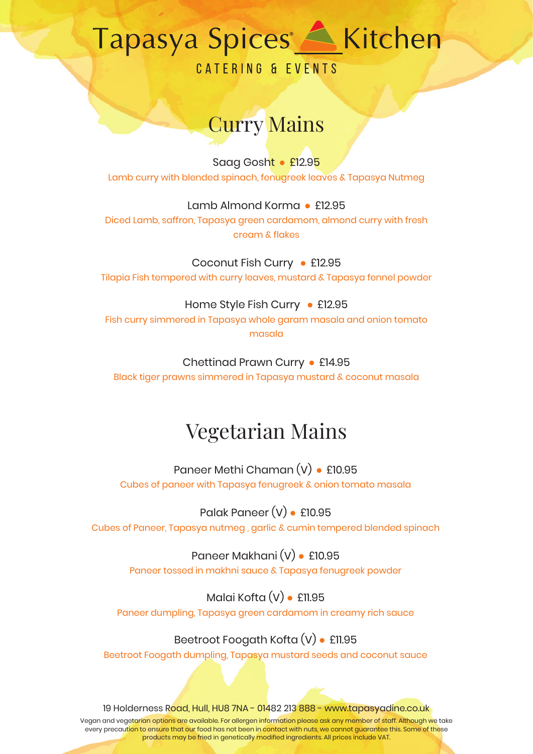**CATERING & EVENTS** 

## Curry Mains

Saag Gosht **●** £12.95 Lamb curry with blended spinach, fenugreek leaves & Tapasya Nutmeg

Lamb Almond Korma **●** £12.95 Diced Lamb, saffron, Tapasya green cardamom, almond curry with fresh cream & flakes

Coconut Fish Curry **●** £12.95 Tilapia Fish tempered with curry leaves, mustard & Tapasya fennel powder

Home Style Fish Curry **●** £12.95 Fish curry simmered in Tapasya whole garam masala and onion tomato masala

Chettinad Prawn Curry **●** £14.95 Black tiger prawns simmered in Tapasya mustard & coconut masala

## Vegetarian Mains

Paneer Methi Chaman (V) **●** £10.95 Cubes of paneer with Tapasya fenugreek & onion tomato masala

Palak Paneer (V) **●** £10.95 Cubes of Paneer, Tapasya nutmeg , garlic & cumin tempered blended spinach

Paneer Makhani (V) **●** £10.95 Paneer tossed in makhni sauce & Tapasya fenugreek powder

Malai Kofta (V) **●** £11.95 Paneer dumpling, Tapasya green cardamom in creamy rich sauce

Beetroot Foogath Kofta (V) **●** £11.95 Beetroot Foogath dumpling, Tapasya mustard seeds and coconut sauce

19 Holderness Road, Hull, HU8 7NA - 01482 213 888 - www.tapasyadine.co.uk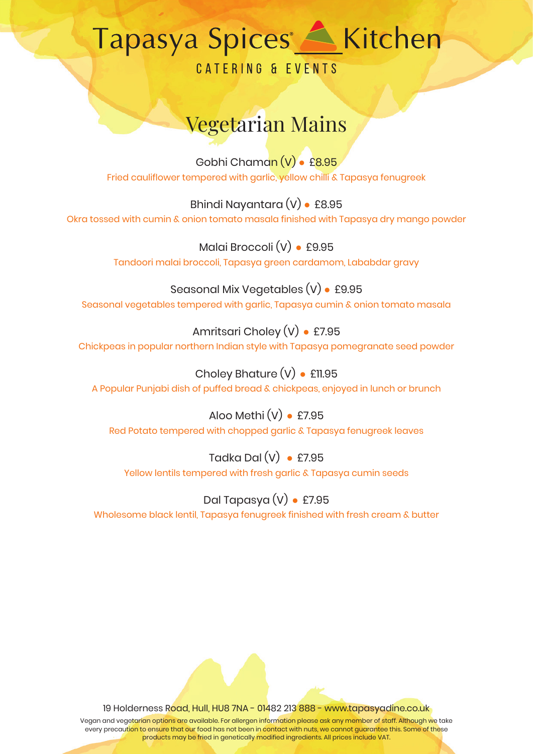# 

**CATERING & EVENTS** 

## Vegetarian Mains

Gobhi Chaman (V) **●** £8.95 Fried cauliflower tempered with garlic, yellow chilli & Tapasya fenugreek

Bhindi Nayantara (V) **●** £8.95 Okra tossed with cumin & onion tomato masala finished with Tapasya dry mango powder

> Malai Broccoli (V) **●** £9.95 Tandoori malai broccoli, Tapasya green cardamom, Lababdar gravy

Seasonal Mix Vegetables (V) **●** £9.95 Seasonal vegetables tempered with garlic, Tapasya cumin & onion tomato masala

Amritsari Choley (V) **●** £7.95 Chickpeas in popular northern Indian style with Tapasya pomegranate seed powder

Choley Bhature (V) **●** £11.95 A Popular Punjabi dish of puffed bread & chickpeas, enjoyed in lunch or brunch

Aloo Methi (V) **●** £7.95 Red Potato tempered with chopped garlic & Tapasya fenugreek leaves

Tadka Dal (V) **●** £7.95 Yellow lentils tempered with fresh garlic & Tapasya cumin seeds

Dal Tapasya (V) **●** £7.95 Wholesome black lentil, Tapasya fenugreek finished with fresh cream & butter

19 Holderness Road, Hull, HU8 7NA - 01482 213 888 - www.tapasyadine.co.uk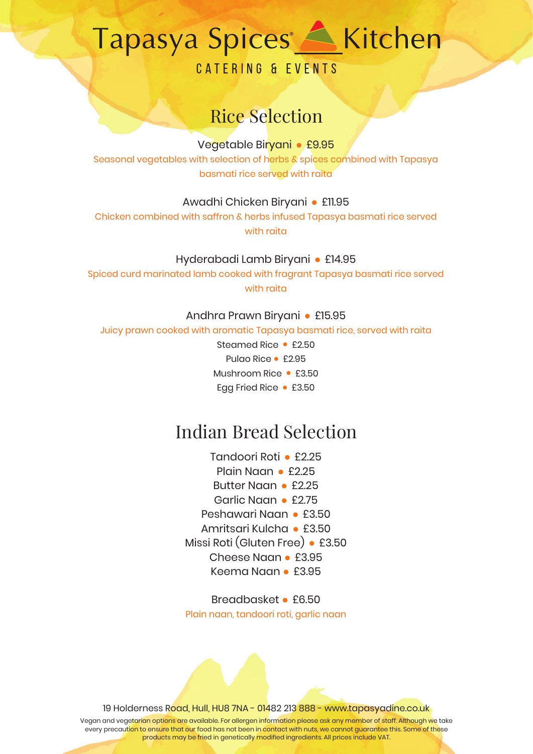**CATERING & EVENTS** 

### Rice Selection

Vegetable Biryani **●** £9.95

Seasonal vegetables with selection of herbs & spices combined with Tapasya basmati rice served with raita

Awadhi Chicken Biryani **●** £11.95

Chicken combined with saffron & herbs infused Tapasya basmati rice served with raita

#### Hyderabadi Lamb Biryani **●** £14.95

Spiced curd marinated lamb cooked with fragrant Tapasya basmati rice served with raita

Andhra Prawn Biryani **●** £15.95

Juicy prawn cooked with aromatic Tapasya basmati rice, served with raita

Steamed Rice **●** £2.50 Pulao Rice **●** £2.95 Mushroom Rice **●** £3.50 Egg Fried Rice **●** £3.50

### Indian Bread Selection

Tandoori Roti **●** £2.25 Plain Naan **●** £2.25 Butter Naan **●** £2.25 Garlic Naan **●** £2.75 Peshawari Naan **●** £3.50 Amritsari Kulcha **●** £3.50 Missi Roti (Gluten Free) **●** £3.50 Cheese Naan **●** £3.95 Keema Naan **●** £3.95

Breadbasket **●** £6.50 Plain naan, tandoori roti, garlic naan

19 Holderness Road, Hull, HU8 7NA - 01482 213 888 - www.tapasyadine.co.uk